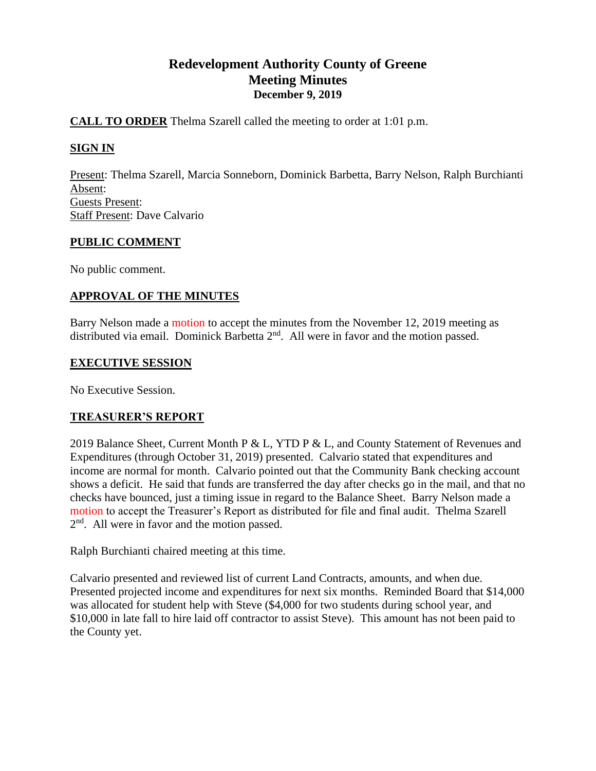# **Redevelopment Authority County of Greene Meeting Minutes December 9, 2019**

### **CALL TO ORDER** Thelma Szarell called the meeting to order at 1:01 p.m.

# **SIGN IN**

Present: Thelma Szarell, Marcia Sonneborn, Dominick Barbetta, Barry Nelson, Ralph Burchianti Absent: Guests Present: Staff Present: Dave Calvario

### **PUBLIC COMMENT**

No public comment.

# **APPROVAL OF THE MINUTES**

Barry Nelson made a motion to accept the minutes from the November 12, 2019 meeting as distributed via email. Dominick Barbetta  $2<sup>nd</sup>$ . All were in favor and the motion passed.

### **EXECUTIVE SESSION**

No Executive Session.

# **TREASURER'S REPORT**

2019 Balance Sheet, Current Month P & L, YTD P & L, and County Statement of Revenues and Expenditures (through October 31, 2019) presented. Calvario stated that expenditures and income are normal for month. Calvario pointed out that the Community Bank checking account shows a deficit. He said that funds are transferred the day after checks go in the mail, and that no checks have bounced, just a timing issue in regard to the Balance Sheet. Barry Nelson made a motion to accept the Treasurer's Report as distributed for file and final audit. Thelma Szarell 2<sup>nd</sup>. All were in favor and the motion passed.

Ralph Burchianti chaired meeting at this time.

Calvario presented and reviewed list of current Land Contracts, amounts, and when due. Presented projected income and expenditures for next six months. Reminded Board that \$14,000 was allocated for student help with Steve (\$4,000 for two students during school year, and \$10,000 in late fall to hire laid off contractor to assist Steve). This amount has not been paid to the County yet.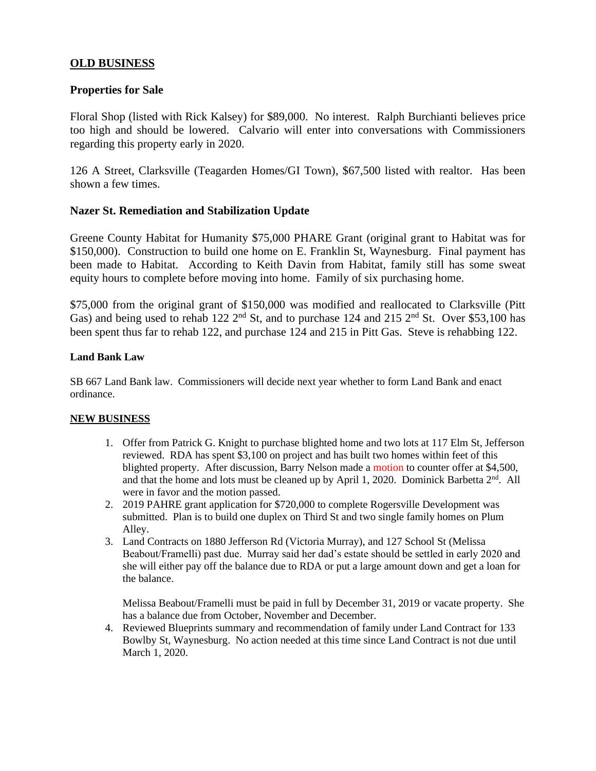### **OLD BUSINESS**

#### **Properties for Sale**

Floral Shop (listed with Rick Kalsey) for \$89,000. No interest. Ralph Burchianti believes price too high and should be lowered. Calvario will enter into conversations with Commissioners regarding this property early in 2020.

126 A Street, Clarksville (Teagarden Homes/GI Town), \$67,500 listed with realtor. Has been shown a few times.

#### **Nazer St. Remediation and Stabilization Update**

Greene County Habitat for Humanity \$75,000 PHARE Grant (original grant to Habitat was for \$150,000). Construction to build one home on E. Franklin St, Waynesburg. Final payment has been made to Habitat. According to Keith Davin from Habitat, family still has some sweat equity hours to complete before moving into home. Family of six purchasing home.

\$75,000 from the original grant of \$150,000 was modified and reallocated to Clarksville (Pitt Gas) and being used to rehab 122  $2<sup>nd</sup>$  St, and to purchase 124 and 215  $2<sup>nd</sup>$  St. Over \$53,100 has been spent thus far to rehab 122, and purchase 124 and 215 in Pitt Gas. Steve is rehabbing 122.

#### **Land Bank Law**

SB 667 Land Bank law. Commissioners will decide next year whether to form Land Bank and enact ordinance.

#### **NEW BUSINESS**

- 1. Offer from Patrick G. Knight to purchase blighted home and two lots at 117 Elm St, Jefferson reviewed. RDA has spent \$3,100 on project and has built two homes within feet of this blighted property. After discussion, Barry Nelson made a motion to counter offer at \$4,500, and that the home and lots must be cleaned up by April 1, 2020. Dominick Barbetta  $2<sup>nd</sup>$ . All were in favor and the motion passed.
- 2. 2019 PAHRE grant application for \$720,000 to complete Rogersville Development was submitted. Plan is to build one duplex on Third St and two single family homes on Plum Alley.
- 3. Land Contracts on 1880 Jefferson Rd (Victoria Murray), and 127 School St (Melissa Beabout/Framelli) past due. Murray said her dad's estate should be settled in early 2020 and she will either pay off the balance due to RDA or put a large amount down and get a loan for the balance.

Melissa Beabout/Framelli must be paid in full by December 31, 2019 or vacate property. She has a balance due from October, November and December.

4. Reviewed Blueprints summary and recommendation of family under Land Contract for 133 Bowlby St, Waynesburg. No action needed at this time since Land Contract is not due until March 1, 2020.